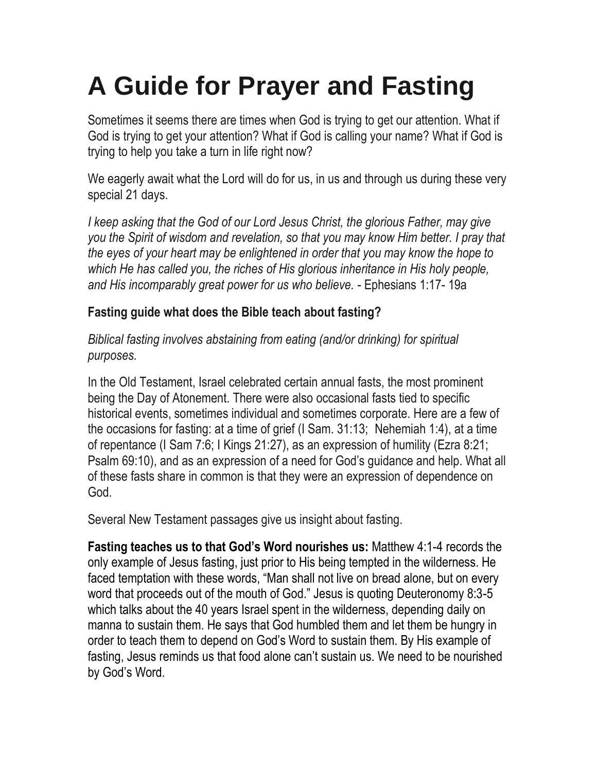# **A Guide for Prayer and Fasting**

Sometimes it seems there are times when God is trying to get our attention. What if God is trying to get your attention? What if God is calling your name? What if God is trying to help you take a turn in life right now?

We eagerly await what the Lord will do for us, in us and through us during these very special 21 days.

*I keep asking that the God of our Lord Jesus Christ, the glorious Father, may give you the Spirit of wisdom and revelation, so that you may know Him better. I pray that the eyes of your heart may be enlightened in order that you may know the hope to which He has called you, the riches of His glorious inheritance in His holy people, and His incomparably great power for us who believe.* - Ephesians 1:17- 19a

### **Fasting guide what does the Bible teach about fasting?**

*Biblical fasting involves abstaining from eating (and/or drinking) for spiritual purposes.* 

In the Old Testament, Israel celebrated certain annual fasts, the most prominent being the Day of Atonement. There were also occasional fasts tied to specific historical events, sometimes individual and sometimes corporate. Here are a few of the occasions for fasting: at a time of grief (I Sam. 31:13; Nehemiah 1:4), at a time of repentance (I Sam 7:6; I Kings 21:27), as an expression of humility (Ezra 8:21; Psalm 69:10), and as an expression of a need for God's guidance and help. What all of these fasts share in common is that they were an expression of dependence on God.

Several New Testament passages give us insight about fasting.

**Fasting teaches us to that God's Word nourishes us:** Matthew 4:1-4 records the only example of Jesus fasting, just prior to His being tempted in the wilderness. He faced temptation with these words, "Man shall not live on bread alone, but on every word that proceeds out of the mouth of God." Jesus is quoting Deuteronomy 8:3-5 which talks about the 40 years Israel spent in the wilderness, depending daily on manna to sustain them. He says that God humbled them and let them be hungry in order to teach them to depend on God's Word to sustain them. By His example of fasting, Jesus reminds us that food alone can't sustain us. We need to be nourished by God's Word.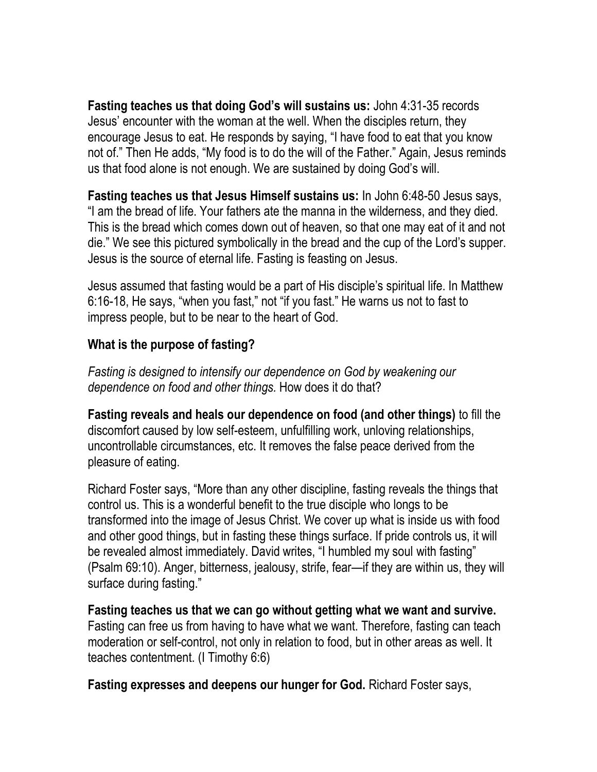**Fasting teaches us that doing God's will sustains us:** John 4:31-35 records Jesus' encounter with the woman at the well. When the disciples return, they encourage Jesus to eat. He responds by saying, "I have food to eat that you know not of." Then He adds, "My food is to do the will of the Father." Again, Jesus reminds us that food alone is not enough. We are sustained by doing God's will.

**Fasting teaches us that Jesus Himself sustains us:** In John 6:48-50 Jesus says, "I am the bread of life. Your fathers ate the manna in the wilderness, and they died. This is the bread which comes down out of heaven, so that one may eat of it and not die." We see this pictured symbolically in the bread and the cup of the Lord's supper. Jesus is the source of eternal life. Fasting is feasting on Jesus.

Jesus assumed that fasting would be a part of His disciple's spiritual life. In Matthew 6:16-18, He says, "when you fast," not "if you fast." He warns us not to fast to impress people, but to be near to the heart of God.

### **What is the purpose of fasting?**

*Fasting is designed to intensify our dependence on God by weakening our dependence on food and other things.* How does it do that?

**Fasting reveals and heals our dependence on food (and other things)** to fill the discomfort caused by low self-esteem, unfulfilling work, unloving relationships, uncontrollable circumstances, etc. It removes the false peace derived from the pleasure of eating.

Richard Foster says, "More than any other discipline, fasting reveals the things that control us. This is a wonderful benefit to the true disciple who longs to be transformed into the image of Jesus Christ. We cover up what is inside us with food and other good things, but in fasting these things surface. If pride controls us, it will be revealed almost immediately. David writes, "I humbled my soul with fasting" (Psalm 69:10). Anger, bitterness, jealousy, strife, fear—if they are within us, they will surface during fasting."

**Fasting teaches us that we can go without getting what we want and survive.**  Fasting can free us from having to have what we want. Therefore, fasting can teach moderation or self-control, not only in relation to food, but in other areas as well. It teaches contentment. (I Timothy 6:6)

**Fasting expresses and deepens our hunger for God.** Richard Foster says,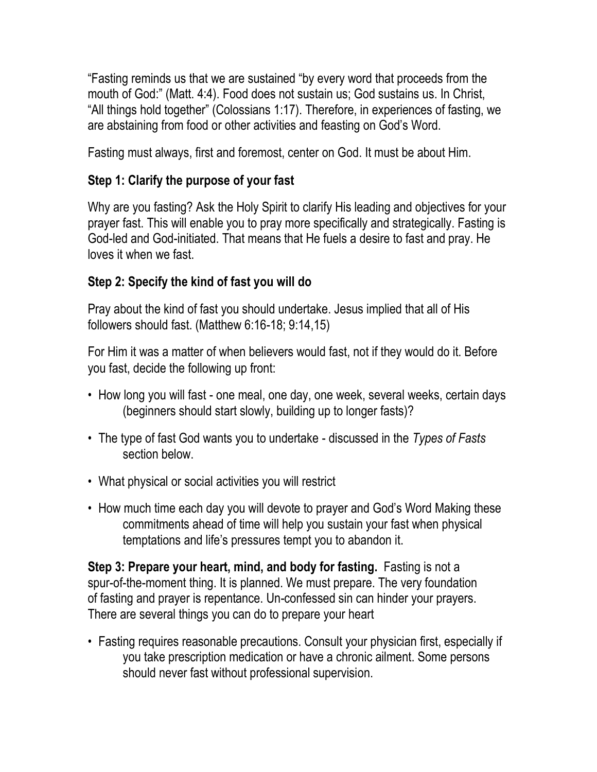"Fasting reminds us that we are sustained "by every word that proceeds from the mouth of God:" (Matt. 4:4). Food does not sustain us; God sustains us. In Christ, "All things hold together" (Colossians 1:17). Therefore, in experiences of fasting, we are abstaining from food or other activities and feasting on God's Word.

Fasting must always, first and foremost, center on God. It must be about Him.

## **Step 1: Clarify the purpose of your fast**

Why are you fasting? Ask the Holy Spirit to clarify His leading and objectives for your prayer fast. This will enable you to pray more specifically and strategically. Fasting is God-led and God-initiated. That means that He fuels a desire to fast and pray. He loves it when we fast.

## **Step 2: Specify the kind of fast you will do**

Pray about the kind of fast you should undertake. Jesus implied that all of His followers should fast. (Matthew 6:16-18; 9:14,15)

For Him it was a matter of when believers would fast, not if they would do it. Before you fast, decide the following up front:

- How long you will fast one meal, one day, one week, several weeks, certain days (beginners should start slowly, building up to longer fasts)?
- The type of fast God wants you to undertake discussed in the *Types of Fasts*  section below.
- What physical or social activities you will restrict
- How much time each day you will devote to prayer and God's Word Making these commitments ahead of time will help you sustain your fast when physical temptations and life's pressures tempt you to abandon it.

**Step 3: Prepare your heart, mind, and body for fasting.** Fasting is not a spur-of-the-moment thing. It is planned. We must prepare. The very foundation of fasting and prayer is repentance. Un-confessed sin can hinder your prayers. There are several things you can do to prepare your heart

• Fasting requires reasonable precautions. Consult your physician first, especially if you take prescription medication or have a chronic ailment. Some persons should never fast without professional supervision.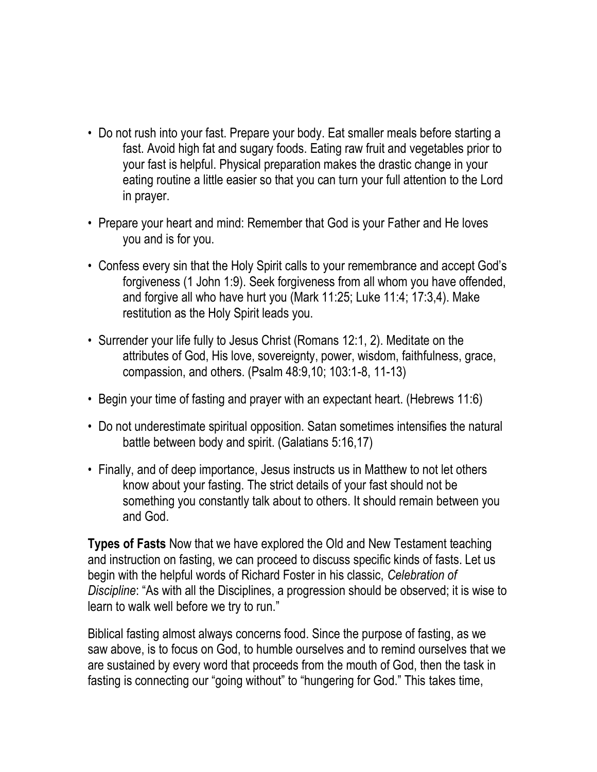- Do not rush into your fast. Prepare your body. Eat smaller meals before starting a fast. Avoid high fat and sugary foods. Eating raw fruit and vegetables prior to your fast is helpful. Physical preparation makes the drastic change in your eating routine a little easier so that you can turn your full attention to the Lord in prayer.
- Prepare your heart and mind: Remember that God is your Father and He loves you and is for you.
- Confess every sin that the Holy Spirit calls to your remembrance and accept God's forgiveness (1 John 1:9). Seek forgiveness from all whom you have offended, and forgive all who have hurt you (Mark 11:25; Luke 11:4; 17:3,4). Make restitution as the Holy Spirit leads you.
- Surrender your life fully to Jesus Christ (Romans 12:1, 2). Meditate on the attributes of God, His love, sovereignty, power, wisdom, faithfulness, grace, compassion, and others. (Psalm 48:9,10; 103:1-8, 11-13)
- Begin your time of fasting and prayer with an expectant heart. (Hebrews 11:6)
- Do not underestimate spiritual opposition. Satan sometimes intensifies the natural battle between body and spirit. (Galatians 5:16,17)
- Finally, and of deep importance, Jesus instructs us in Matthew to not let others know about your fasting. The strict details of your fast should not be something you constantly talk about to others. It should remain between you and God.

**Types of Fasts** Now that we have explored the Old and New Testament teaching and instruction on fasting, we can proceed to discuss specific kinds of fasts. Let us begin with the helpful words of Richard Foster in his classic, *Celebration of Discipline*: "As with all the Disciplines, a progression should be observed; it is wise to learn to walk well before we try to run."

Biblical fasting almost always concerns food. Since the purpose of fasting, as we saw above, is to focus on God, to humble ourselves and to remind ourselves that we are sustained by every word that proceeds from the mouth of God, then the task in fasting is connecting our "going without" to "hungering for God." This takes time,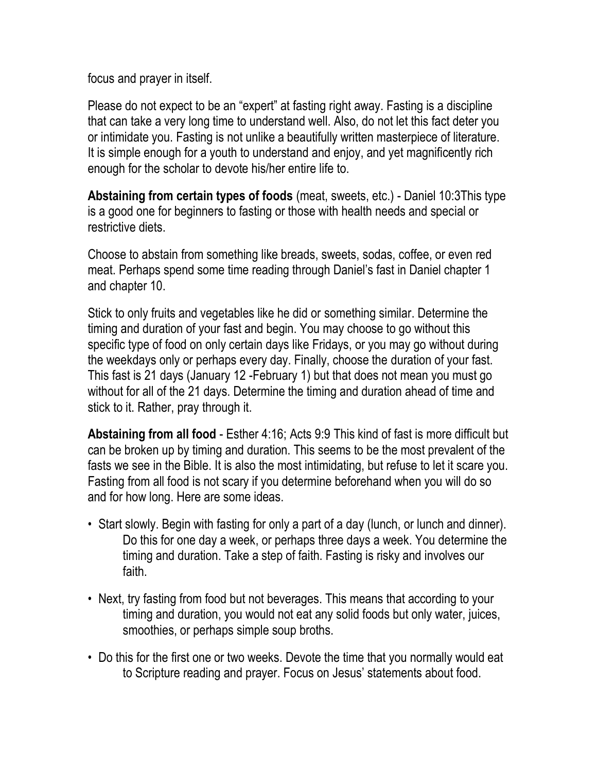focus and prayer in itself.

Please do not expect to be an "expert" at fasting right away. Fasting is a discipline that can take a very long time to understand well. Also, do not let this fact deter you or intimidate you. Fasting is not unlike a beautifully written masterpiece of literature. It is simple enough for a youth to understand and enjoy, and yet magnificently rich enough for the scholar to devote his/her entire life to.

**Abstaining from certain types of foods** (meat, sweets, etc.) - Daniel 10:3This type is a good one for beginners to fasting or those with health needs and special or restrictive diets.

Choose to abstain from something like breads, sweets, sodas, coffee, or even red meat. Perhaps spend some time reading through Daniel's fast in Daniel chapter 1 and chapter 10.

Stick to only fruits and vegetables like he did or something similar. Determine the timing and duration of your fast and begin. You may choose to go without this specific type of food on only certain days like Fridays, or you may go without during the weekdays only or perhaps every day. Finally, choose the duration of your fast. This fast is 21 days (January 12 -February 1) but that does not mean you must go without for all of the 21 days. Determine the timing and duration ahead of time and stick to it. Rather, pray through it.

**Abstaining from all food** - Esther 4:16; Acts 9:9 This kind of fast is more difficult but can be broken up by timing and duration. This seems to be the most prevalent of the fasts we see in the Bible. It is also the most intimidating, but refuse to let it scare you. Fasting from all food is not scary if you determine beforehand when you will do so and for how long. Here are some ideas.

- Start slowly. Begin with fasting for only a part of a day (lunch, or lunch and dinner). Do this for one day a week, or perhaps three days a week. You determine the timing and duration. Take a step of faith. Fasting is risky and involves our faith.
- Next, try fasting from food but not beverages. This means that according to your timing and duration, you would not eat any solid foods but only water, juices, smoothies, or perhaps simple soup broths.
- Do this for the first one or two weeks. Devote the time that you normally would eat to Scripture reading and prayer. Focus on Jesus' statements about food.